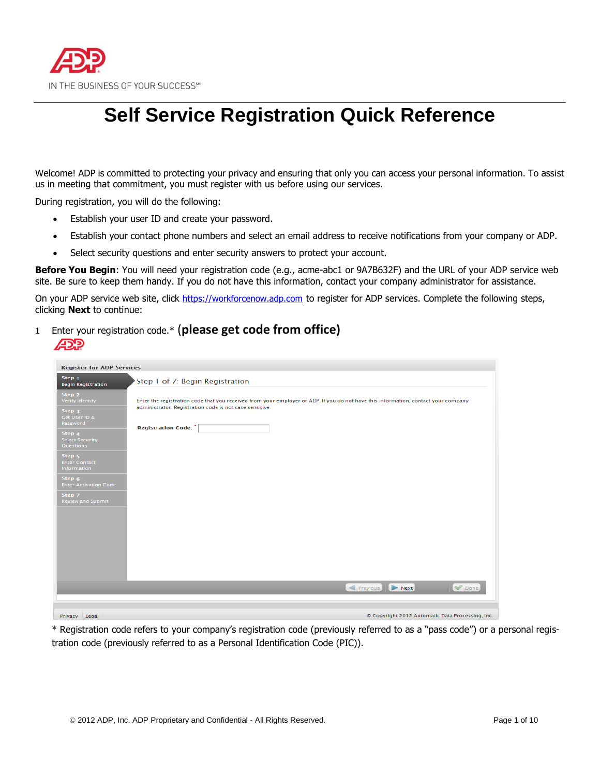

# **Self Service Registration Quick Reference**

Welcome! ADP is committed to protecting your privacy and ensuring that only you can access your personal information. To assist us in meeting that commitment, you must register with us before using our services.

During registration, you will do the following:

- Establish your user ID and create your password.
- Establish your contact phone numbers and select an email address to receive notifications from your company or ADP.
- Select security questions and enter security answers to protect your account.

**Before You Begin**: You will need your registration code (e.g., acme-abc1 or 9A7B632F) and the URL of your ADP service web site. Be sure to keep them handy. If you do not have this information, contact your company administrator for assistance.

On your ADP service web site, click [https://workforcenow.adp.com](https://workforcenow.adp.com/) to register for ADP services. Complete the following steps, clicking **Next** to continue:

**<sup>1</sup>**Enter your registration code.\* (**please get code from office)** פּרַבּ

| <b>Register for ADP Services</b>                                            |                                                                                                                                                                                               |
|-----------------------------------------------------------------------------|-----------------------------------------------------------------------------------------------------------------------------------------------------------------------------------------------|
| Step <sub>1</sub><br><b>Begin Registration</b>                              | Step 1 of 7: Begin Registration                                                                                                                                                               |
| Step 2<br>Verify Identity<br>Step <sub>3</sub><br>Get User ID &<br>Password | Enter the registration code that you received from your employer or ADP. If you do not have this information, contact your company<br>administrator. Registration code is not case sensitive. |
| Step 4<br><b>Select Security</b><br>Questions                               | <b>Registration Code:</b>                                                                                                                                                                     |
| Step <sub>5</sub><br><b>Enter Contact</b><br>Information                    |                                                                                                                                                                                               |
| Step <sub>6</sub><br><b>Enter Activation Code</b>                           |                                                                                                                                                                                               |
| Step 7<br><b>Review and Submit</b>                                          |                                                                                                                                                                                               |
|                                                                             |                                                                                                                                                                                               |
|                                                                             |                                                                                                                                                                                               |
|                                                                             |                                                                                                                                                                                               |
|                                                                             |                                                                                                                                                                                               |
|                                                                             | Done<br>Previous <b>D</b> Next                                                                                                                                                                |
| Privacy Legal                                                               | © Copyright 2012 Automatic Data Processing, Inc.                                                                                                                                              |

\* Registration code refers to your company's registration code (previously referred to as a "pass code") or a personal registration code (previously referred to as a Personal Identification Code (PIC)).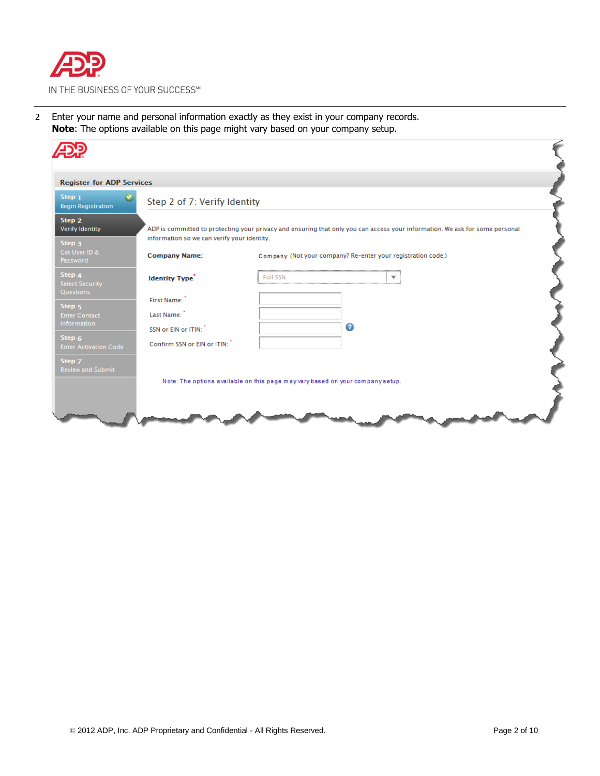

**2** Enter your name and personal information exactly as they exist in your company records. **Note**: The options available on this page might vary based on your company setup.

| <b>Register for ADP Services</b>               |                                                                                |          |   |                                                                                                                              |  |
|------------------------------------------------|--------------------------------------------------------------------------------|----------|---|------------------------------------------------------------------------------------------------------------------------------|--|
| Step <sub>1</sub><br><b>Begin Registration</b> | Step 2 of 7: Verify Identity                                                   |          |   |                                                                                                                              |  |
| Step 2<br>Verify Identity<br>Step <sub>3</sub> | information so we can verify your identity.                                    |          |   | ADP is committed to protecting your privacy and ensuring that only you can access your information. We ask for some personal |  |
| Get User ID &<br>Password                      | <b>Company Name:</b>                                                           |          |   | Company (Not your company? Re-enter your registration code.)                                                                 |  |
| Step 4<br><b>Select Security</b><br>Questions  | <b>Identity Type</b>                                                           | Full SSN |   | $\overline{\phantom{a}}$                                                                                                     |  |
| Step <sub>5</sub>                              | First Name:                                                                    |          |   |                                                                                                                              |  |
| <b>Enter Contact</b>                           | Last Name:                                                                     |          |   |                                                                                                                              |  |
| Information                                    | SSN or EIN or ITIN:                                                            |          | ◙ |                                                                                                                              |  |
| Step 6<br><b>Enter Activation Code</b>         | Confirm SSN or EIN or ITIN:                                                    |          |   |                                                                                                                              |  |
| Step 7<br><b>Review and Submit</b>             |                                                                                |          |   |                                                                                                                              |  |
|                                                | Note: The options available on this page may vary based on your company setup. |          |   |                                                                                                                              |  |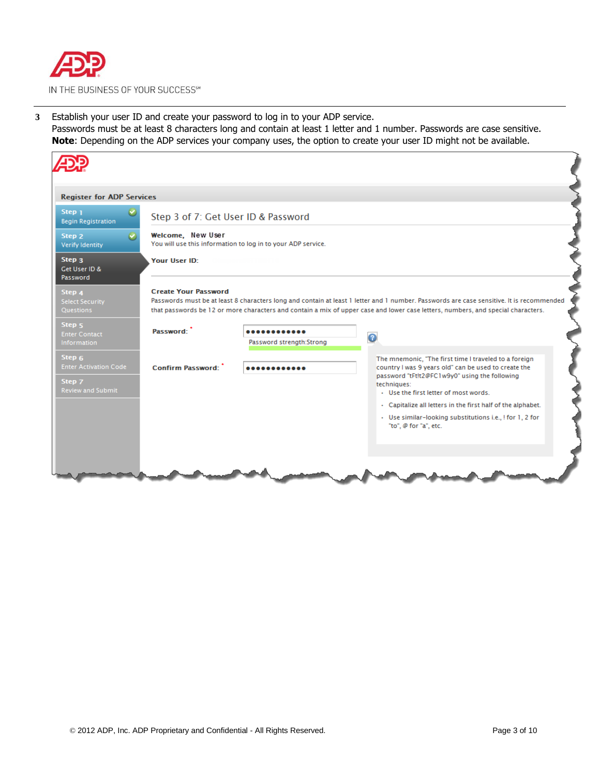

**3** Establish your user ID and create your password to log in to your ADP service. Passwords must be at least 8 characters long and contain at least 1 letter and 1 number. Passwords are case sensitive. **Note**: Depending on the ADP services your company uses, the option to create your user ID might not be available.

| <b>Register for ADP Services</b>                                             |                                     |                                                              |                                                                                                                                                                                                                                                                              |
|------------------------------------------------------------------------------|-------------------------------------|--------------------------------------------------------------|------------------------------------------------------------------------------------------------------------------------------------------------------------------------------------------------------------------------------------------------------------------------------|
| Step <sub>1</sub><br><b>Begin Registration</b>                               | Step 3 of 7: Get User ID & Password |                                                              |                                                                                                                                                                                                                                                                              |
| Step 2<br>Verify Identity                                                    | Welcome, New User                   | You will use this information to log in to your ADP service. |                                                                                                                                                                                                                                                                              |
| Step <sub>3</sub><br>Get User ID &<br>Password                               | <b>Your User ID:</b>                |                                                              |                                                                                                                                                                                                                                                                              |
| Step 4<br><b>Select Security</b><br><b>Questions</b>                         | <b>Create Your Password</b>         |                                                              | Passwords must be at least 8 characters long and contain at least 1 letter and 1 number. Passwords are case sensitive. It is recommended<br>that passwords be 12 or more characters and contain a mix of upper case and lower case letters, numbers, and special characters. |
| Step <sub>5</sub><br><b>Enter Contact</b><br><b>Information</b>              | Password <sup>-</sup>               | <br>Password strength:Strong                                 | $\boldsymbol{c}$                                                                                                                                                                                                                                                             |
|                                                                              |                                     |                                                              | The mnemonic, "The first time I traveled to a foreign<br>country I was 9 years old" can be used to create the                                                                                                                                                                |
| Step 6<br><b>Enter Activation Code</b><br>Step 7<br><b>Review and Submit</b> | Confirm Password:                   |                                                              | password "tFt!t2@FC1w9y0" using the following<br>techniques:<br>. Use the first letter of most words.                                                                                                                                                                        |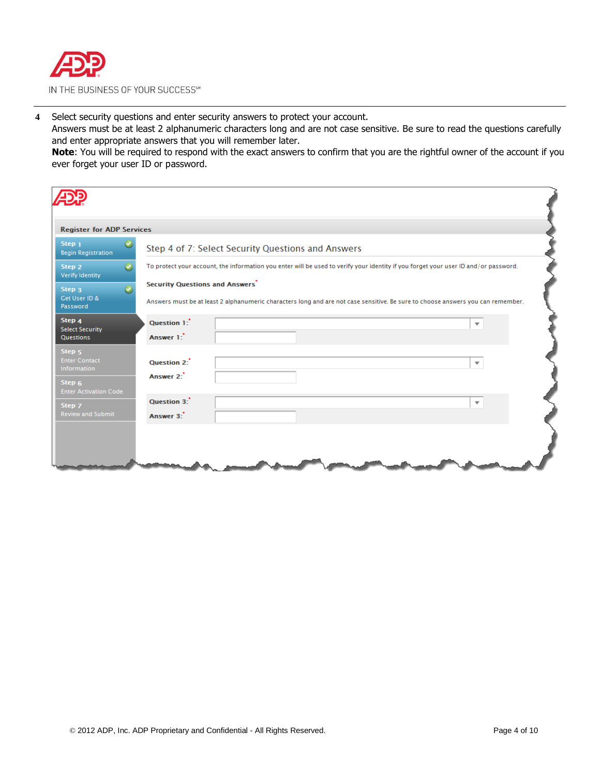

**4** Select security questions and enter security answers to protect your account.

Answers must be at least 2 alphanumeric characters long and are not case sensitive. Be sure to read the questions carefully and enter appropriate answers that you will remember later.

**Note**: You will be required to respond with the exact answers to confirm that you are the rightful owner of the account if you ever forget your user ID or password.

| <b>Register for ADP Services</b>                                              |                                                                                                                                                                                           |  |  |  |  |
|-------------------------------------------------------------------------------|-------------------------------------------------------------------------------------------------------------------------------------------------------------------------------------------|--|--|--|--|
| Step <sub>1</sub><br>Ø<br><b>Begin Registration</b>                           | Step 4 of 7: Select Security Questions and Answers<br>To protect your account, the information you enter will be used to verify your identity if you forget your user ID and/or password. |  |  |  |  |
| Step <sub>2</sub><br>$\omega$<br>Verify Identity                              |                                                                                                                                                                                           |  |  |  |  |
| $\checkmark$<br>Step <sub>3</sub><br>Get User ID &<br>Password                | <b>Security Questions and Answers</b><br>Answers must be at least 2 alphanumeric characters long and are not case sensitive. Be sure to choose answers you can remember.                  |  |  |  |  |
| Step 4<br><b>Select Security</b><br>Questions                                 | Question 1:<br>$\overline{\phantom{a}}$<br>Answer 1:                                                                                                                                      |  |  |  |  |
| Step <sub>5</sub><br><b>Enter Contact</b><br>Information<br>Step <sub>6</sub> | Ouestion 2:<br>$\overline{\mathbf{v}}$<br>Answer 2:                                                                                                                                       |  |  |  |  |
| <b>Enter Activation Code</b><br>Step 7<br><b>Review and Submit</b>            | Question 3:<br>$\overline{\phantom{a}}$<br>Answer 3:                                                                                                                                      |  |  |  |  |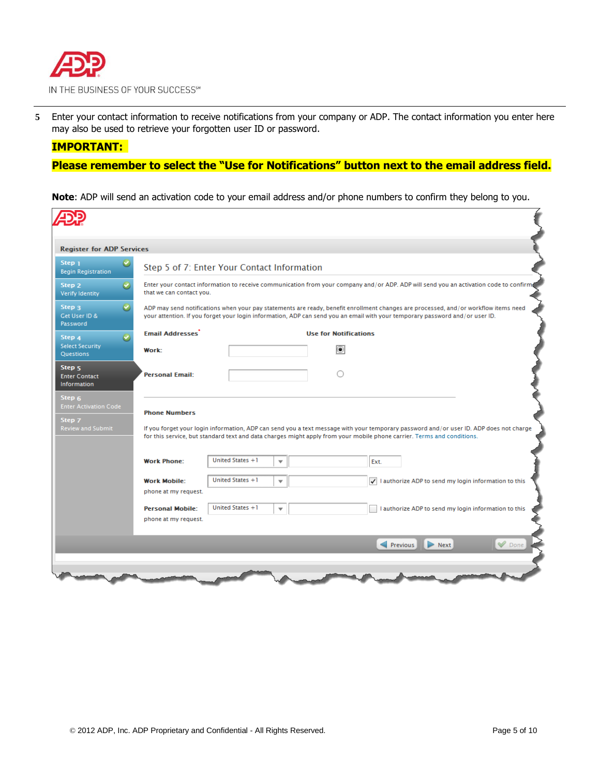

**5** Enter your contact information to receive notifications from your company or ADP. The contact information you enter here may also be used to retrieve your forgotten user ID or password.

### **IMPORTANT:**

### **Please remember to select the "Use for Notifications" button next to the email address field.**

**Note**: ADP will send an activation code to your email address and/or phone numbers to confirm they belong to you.

|                                                          | <b>Register for ADP Services</b> |                                             |                                             |                         |                              |                                                                                                                                                                                                                                                                     |  |
|----------------------------------------------------------|----------------------------------|---------------------------------------------|---------------------------------------------|-------------------------|------------------------------|---------------------------------------------------------------------------------------------------------------------------------------------------------------------------------------------------------------------------------------------------------------------|--|
| Step <sub>1</sub><br><b>Begin Registration</b>           |                                  |                                             | Step 5 of 7: Enter Your Contact Information |                         |                              |                                                                                                                                                                                                                                                                     |  |
| Step 2<br>Verify Identity                                | $\boldsymbol{\Theta}$            | that we can contact you.                    |                                             |                         |                              | Enter your contact information to receive communication from your company and/or ADP. ADP will send you an activation code to confirm                                                                                                                               |  |
| Step <sub>3</sub><br>Get User ID &<br>Password           | $\omega$                         |                                             |                                             |                         |                              | ADP may send notifications when your pay statements are ready, benefit enrollment changes are processed, and/or workflow items need<br>your attention. If you forget your login information, ADP can send you an email with your temporary password and/or user ID. |  |
| Step 4                                                   | $\omega$                         | <b>Email Addresses</b>                      |                                             |                         | <b>Use for Notifications</b> |                                                                                                                                                                                                                                                                     |  |
| <b>Select Security</b><br>Questions                      |                                  | Work:                                       |                                             |                         | Ő                            |                                                                                                                                                                                                                                                                     |  |
| Step <sub>5</sub><br><b>Enter Contact</b><br>Information |                                  | <b>Personal Email:</b>                      |                                             |                         | ∩                            |                                                                                                                                                                                                                                                                     |  |
| Step <sub>6</sub><br><b>Enter Activation Code</b>        |                                  |                                             |                                             |                         |                              |                                                                                                                                                                                                                                                                     |  |
|                                                          |                                  | <b>Phone Numbers</b>                        |                                             |                         |                              | If you forget your login information, ADP can send you a text message with your temporary password and/or user ID. ADP does not charge<br>for this service, but standard text and data charges might apply from your mobile phone carrier. Terms and conditions.    |  |
|                                                          |                                  | <b>Work Phone:</b>                          | United States +1                            | ▼                       |                              | Ext.                                                                                                                                                                                                                                                                |  |
|                                                          |                                  | <b>Work Mobile:</b><br>phone at my request. | United States +1                            | ▼                       |                              | $\sqrt{}$ I authorize ADP to send my login information to this                                                                                                                                                                                                      |  |
| Step 7<br><b>Review and Submit</b>                       |                                  | <b>Personal Mobile:</b>                     | United States +1                            | $\overline{\mathbf{v}}$ |                              | I authorize ADP to send my login information to this                                                                                                                                                                                                                |  |
|                                                          |                                  | phone at my request.                        |                                             |                         |                              |                                                                                                                                                                                                                                                                     |  |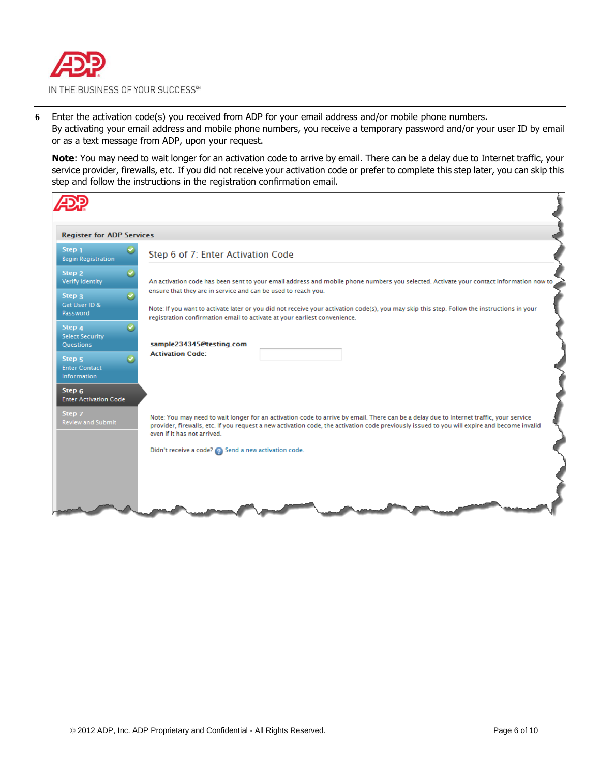

**6** Enter the activation code(s) you received from ADP for your email address and/or mobile phone numbers. By activating your email address and mobile phone numbers, you receive a temporary password and/or your user ID by email or as a text message from ADP, upon your request.

**Note**: You may need to wait longer for an activation code to arrive by email. There can be a delay due to Internet traffic, your service provider, firewalls, etc. If you did not receive your activation code or prefer to complete this step later, you can skip this step and follow the instructions in the registration confirmation email.

| <b>Register for ADP Services</b>                                                        |                                                                                                                                                                                                                                                                                                                       |
|-----------------------------------------------------------------------------------------|-----------------------------------------------------------------------------------------------------------------------------------------------------------------------------------------------------------------------------------------------------------------------------------------------------------------------|
| Step <sub>1</sub><br><b>Begin Registration</b>                                          | Step 6 of 7: Enter Activation Code                                                                                                                                                                                                                                                                                    |
| Step 2<br>M<br>Verify Identity                                                          | An activation code has been sent to your email address and mobile phone numbers you selected. Activate your contact information now to                                                                                                                                                                                |
| Step <sub>3</sub><br>Get User ID &<br>Password                                          | ensure that they are in service and can be used to reach you.<br>Note: If you want to activate later or you did not receive your activation code(s), you may skip this step. Follow the instructions in your<br>registration confirmation email to activate at your earliest convenience.                             |
| Step 4<br><b>Select Security</b><br>Questions                                           | sample234345@testing.com                                                                                                                                                                                                                                                                                              |
| Step <sub>5</sub><br><b>Enter Contact</b><br><b>Information</b>                         | <b>Activation Code:</b>                                                                                                                                                                                                                                                                                               |
| Step <sub>6</sub><br><b>Enter Activation Code</b><br>Step 7<br><b>Review and Submit</b> | Note: You may need to wait longer for an activation code to arrive by email. There can be a delay due to Internet traffic, your service<br>provider, firewalls, etc. If you request a new activation code, the activation code previously issued to you will expire and become invalid<br>even if it has not arrived. |
|                                                                                         | Didn't receive a code? 2 Send a new activation code.                                                                                                                                                                                                                                                                  |
|                                                                                         |                                                                                                                                                                                                                                                                                                                       |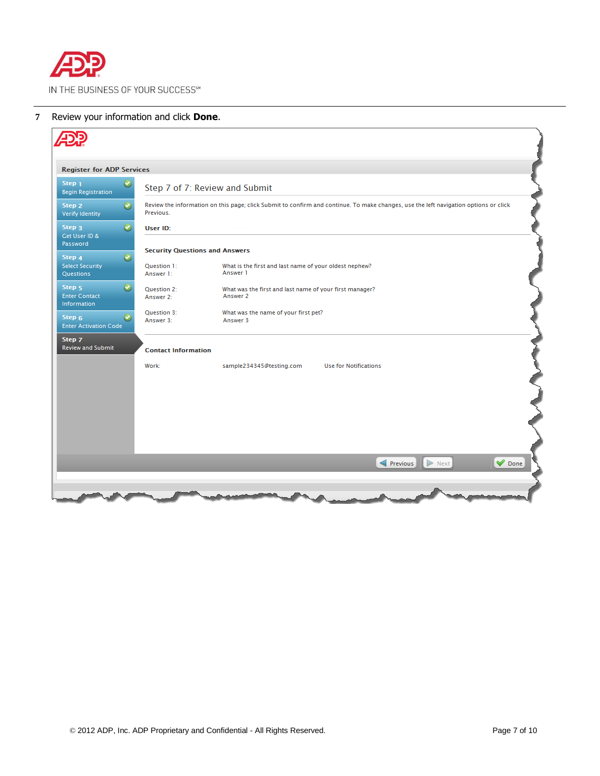

### **7** Review your information and click **Done**.

| <b>Register for ADP Services</b>                                      |                                       |                                                                                                                                      |
|-----------------------------------------------------------------------|---------------------------------------|--------------------------------------------------------------------------------------------------------------------------------------|
| $\bullet$<br>Step <sub>1</sub><br><b>Begin Registration</b>           |                                       | Step 7 of 7: Review and Submit                                                                                                       |
| $\boldsymbol{\Theta}$<br>Step 2<br>Verify Identity                    | Previous.                             | Review the information on this page; click Submit to confirm and continue. To make changes, use the left navigation options or click |
| $\bullet$<br>Step 3<br>Get User ID &                                  | User ID:                              |                                                                                                                                      |
| Password                                                              | <b>Security Questions and Answers</b> |                                                                                                                                      |
| $\bullet$<br>Step 4<br><b>Select Security</b><br>Questions            | <b>Question 1:</b><br>Answer 1:       | What is the first and last name of your oldest nephew?<br>Answer 1                                                                   |
| $\bullet$<br>Step <sub>5</sub><br><b>Enter Contact</b><br>Information | Question 2:<br>Answer 2:              | What was the first and last name of your first manager?<br>Answer 2:                                                                 |
| $\boldsymbol{\Theta}$<br>Step 6<br><b>Enter Activation Code</b>       | Question 3:<br>Answer 3:              | What was the name of your first pet?<br>Answer 3                                                                                     |
| Step 7<br><b>Review and Submit</b>                                    | <b>Contact Information</b>            |                                                                                                                                      |
|                                                                       | Work:                                 | sample234345@testing.com<br><b>Use for Notifications</b>                                                                             |
|                                                                       |                                       |                                                                                                                                      |
|                                                                       |                                       |                                                                                                                                      |
|                                                                       |                                       |                                                                                                                                      |
|                                                                       |                                       | $\blacktriangledown$ Done<br>Previous<br>$\triangleright$ Next                                                                       |
|                                                                       |                                       |                                                                                                                                      |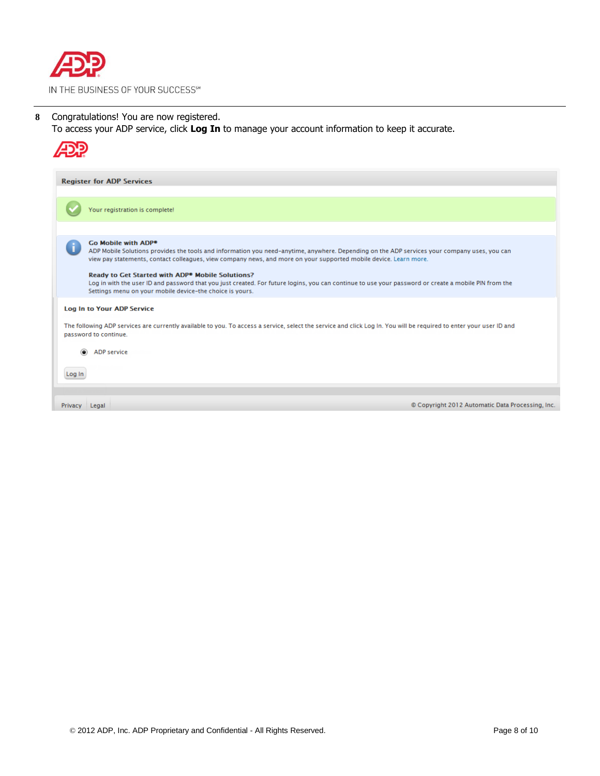

**8** Congratulations! You are now registered.

To access your ADP service, click **Log In** to manage your account information to keep it accurate.

|         | <b>Register for ADP Services</b>                                                                                                                                                                                                                                                                                                                                                                                                                                                                                                                                                         |
|---------|------------------------------------------------------------------------------------------------------------------------------------------------------------------------------------------------------------------------------------------------------------------------------------------------------------------------------------------------------------------------------------------------------------------------------------------------------------------------------------------------------------------------------------------------------------------------------------------|
|         | Your registration is complete!                                                                                                                                                                                                                                                                                                                                                                                                                                                                                                                                                           |
|         | Go Mobile with ADP <sup>●</sup><br>ADP Mobile Solutions provides the tools and information you need-anytime, anywhere. Depending on the ADP services your company uses, you can<br>view pay statements, contact colleagues, view company news, and more on your supported mobile device. Learn more.<br>Ready to Get Started with ADP <sup>®</sup> Mobile Solutions?<br>Log in with the user ID and password that you just created. For future logins, you can continue to use your password or create a mobile PIN from the<br>Settings menu on your mobile device-the choice is yours. |
|         | Log In to Your ADP Service<br>The following ADP services are currently available to you. To access a service, select the service and click Log In. You will be required to enter your user ID and<br>password to continue.                                                                                                                                                                                                                                                                                                                                                               |
| Log In  | <b>ADP</b> service                                                                                                                                                                                                                                                                                                                                                                                                                                                                                                                                                                       |
| Privacy | © Copyright 2012 Automatic Data Processing, Inc.<br>Legal                                                                                                                                                                                                                                                                                                                                                                                                                                                                                                                                |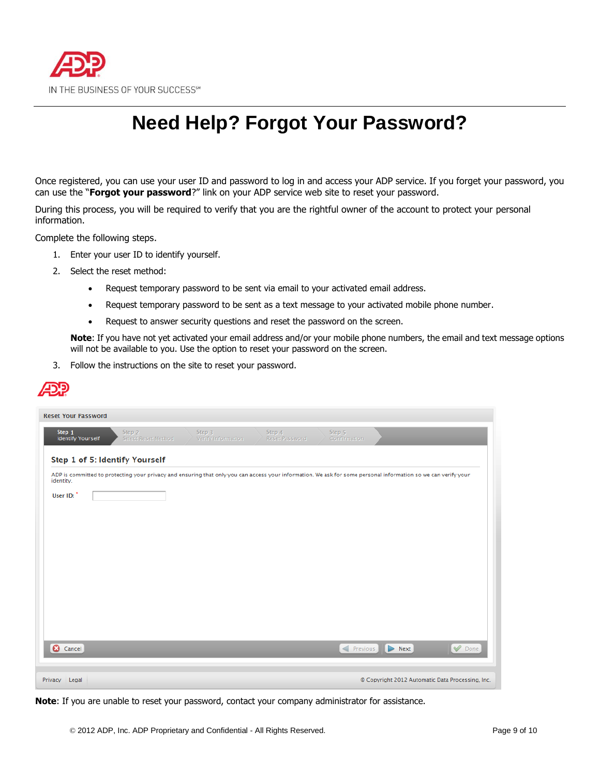

## **Need Help? Forgot Your Password?**

Once registered, you can use your user ID and password to log in and access your ADP service. If you forget your password, you can use the "**Forgot your password**?" link on your ADP service web site to reset your password.

During this process, you will be required to verify that you are the rightful owner of the account to protect your personal information.

Complete the following steps.

- 1. Enter your user ID to identify yourself.
- 2. Select the reset method:
	- Request temporary password to be sent via email to your activated email address.
	- Request temporary password to be sent as a text message to your activated mobile phone number.
	- Request to answer security questions and reset the password on the screen.

**Note**: If you have not yet activated your email address and/or your mobile phone numbers, the email and text message options will not be available to you. Use the option to reset your password on the screen.

3. Follow the instructions on the site to reset your password.



| <b>Reset Your Password</b>         |                                                                                                                                                                |                                         |                                 |                        |                                                  |      |
|------------------------------------|----------------------------------------------------------------------------------------------------------------------------------------------------------------|-----------------------------------------|---------------------------------|------------------------|--------------------------------------------------|------|
| Step 1<br><b>Identify Yourself</b> | Step 2<br>Select Reset Method                                                                                                                                  | Step <sub>3</sub><br>Verify Information | Step 4<br><b>Reset Password</b> | Step 5<br>Confirmation |                                                  |      |
|                                    | Step 1 of 5: Identify Yourself                                                                                                                                 |                                         |                                 |                        |                                                  |      |
| identity.                          | ADP is committed to protecting your privacy and ensuring that only you can access your information. We ask for some personal information so we can verify your |                                         |                                 |                        |                                                  |      |
| User ID:                           |                                                                                                                                                                |                                         |                                 |                        |                                                  |      |
|                                    |                                                                                                                                                                |                                         |                                 |                        |                                                  |      |
|                                    |                                                                                                                                                                |                                         |                                 |                        |                                                  |      |
|                                    |                                                                                                                                                                |                                         |                                 |                        |                                                  |      |
|                                    |                                                                                                                                                                |                                         |                                 |                        |                                                  |      |
|                                    |                                                                                                                                                                |                                         |                                 |                        |                                                  |      |
|                                    |                                                                                                                                                                |                                         |                                 |                        |                                                  |      |
|                                    |                                                                                                                                                                |                                         |                                 |                        |                                                  |      |
|                                    |                                                                                                                                                                |                                         |                                 |                        | Next                                             |      |
| <b>8</b> Cancel                    |                                                                                                                                                                |                                         |                                 | Previous               |                                                  | Oone |
| Privacy Legal                      |                                                                                                                                                                |                                         |                                 |                        | © Copyright 2012 Automatic Data Processing, Inc. |      |

**Note**: If you are unable to reset your password, contact your company administrator for assistance.